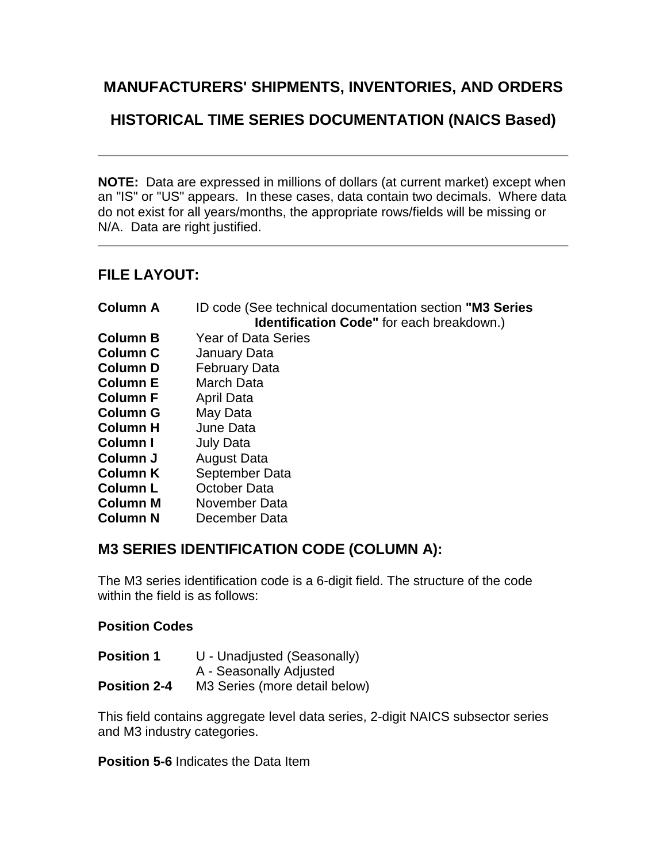# **MANUFACTURERS' SHIPMENTS, INVENTORIES, AND ORDERS**

# **HISTORICAL TIME SERIES DOCUMENTATION (NAICS Based)**

**NOTE:** Data are expressed in millions of dollars (at current market) except when an "IS" or "US" appears. In these cases, data contain two decimals. Where data do not exist for all years/months, the appropriate rows/fields will be missing or N/A. Data are right justified.

### **FILE LAYOUT:**

| ID code (See technical documentation section "M3 Series<br><b>Identification Code"</b> for each breakdown.) |
|-------------------------------------------------------------------------------------------------------------|
| <b>Year of Data Series</b>                                                                                  |
| <b>January Data</b>                                                                                         |
| <b>February Data</b>                                                                                        |
| March Data                                                                                                  |
| <b>April Data</b>                                                                                           |
| May Data                                                                                                    |
| June Data                                                                                                   |
| <b>July Data</b>                                                                                            |
| <b>August Data</b>                                                                                          |
| September Data                                                                                              |
| October Data                                                                                                |
| November Data                                                                                               |
| December Data                                                                                               |
|                                                                                                             |

# **M3 SERIES IDENTIFICATION CODE (COLUMN A):**

The M3 series identification code is a 6-digit field. The structure of the code within the field is as follows:

#### **Position Codes**

| <b>Position 1</b> | U - Unadjusted (Seasonally) |
|-------------------|-----------------------------|
|                   | A - Seasonally Adjusted     |

**Position 2-4** M3 Series (more detail below)

This field contains aggregate level data series, 2-digit NAICS subsector series and M3 industry categories.

**Position 5-6** Indicates the Data Item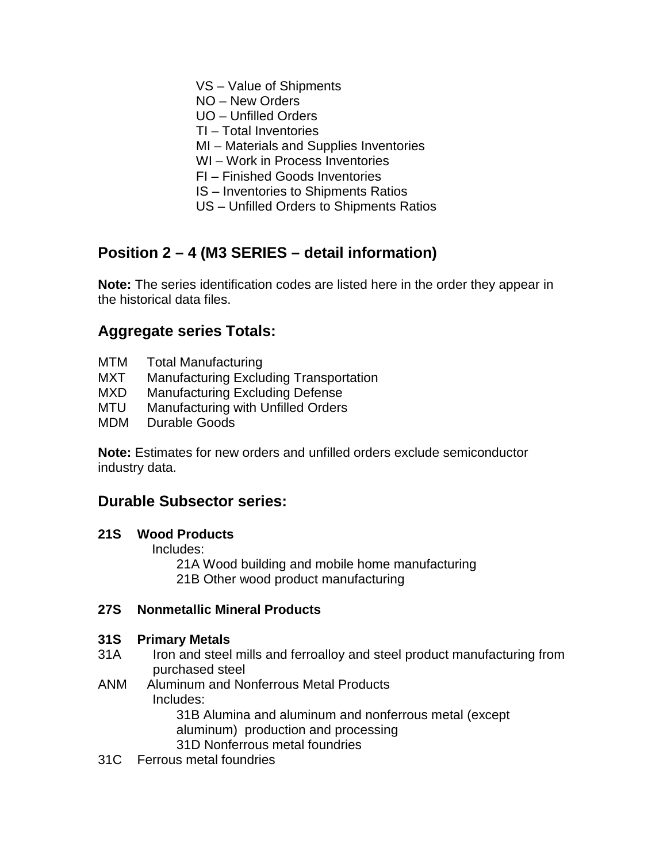VS – Value of Shipments

NO – New Orders

UO – Unfilled Orders

TI – Total Inventories

MI – Materials and Supplies Inventories

WI – Work in Process Inventories

FI – Finished Goods Inventories

IS – Inventories to Shipments Ratios

US – Unfilled Orders to Shipments Ratios

# **Position 2 – 4 (M3 SERIES – detail information)**

**Note:** The series identification codes are listed here in the order they appear in the historical data files.

# **Aggregate series Totals:**

- MTM Total Manufacturing<br>MXT Manufacturing Exclu
- Manufacturing Excluding Transportation
- MXD Manufacturing Excluding Defense
- MTU Manufacturing with Unfilled Orders
- MDM Durable Goods

**Note:** Estimates for new orders and unfilled orders exclude semiconductor industry data.

# **Durable Subsector series:**

#### **21S Wood Products**

Includes:

21A Wood building and mobile home manufacturing 21B Other wood product manufacturing

#### **27S Nonmetallic Mineral Products**

# **31S Primary Metals**

- Iron and steel mills and ferroalloy and steel product manufacturing from purchased steel
- ANM Aluminum and Nonferrous Metal Products Includes:

31B Alumina and aluminum and nonferrous metal (except aluminum) production and processing 31D Nonferrous metal foundries

31C Ferrous metal foundries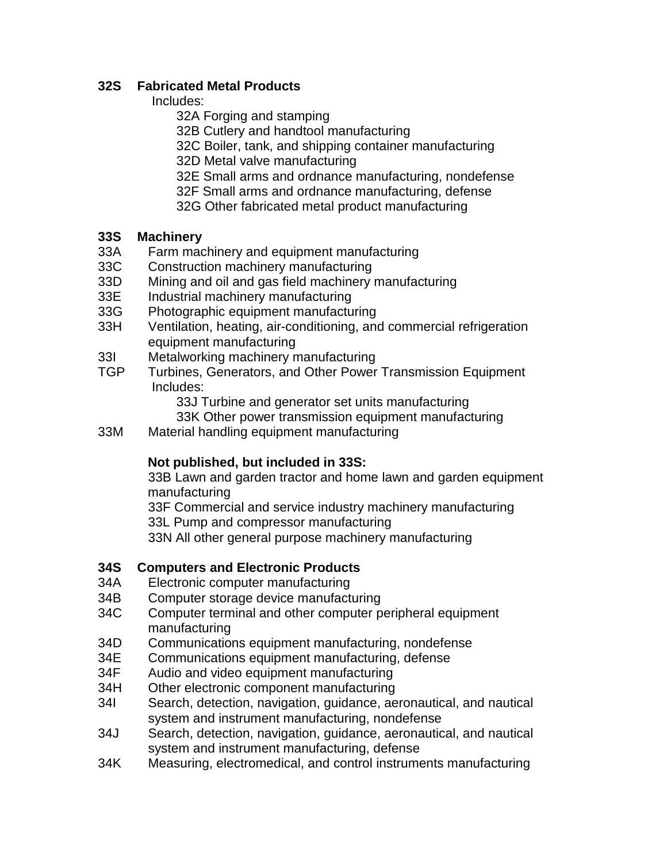#### **32S Fabricated Metal Products**

#### Includes:

- 32A Forging and stamping
- 32B Cutlery and handtool manufacturing
- 32C Boiler, tank, and shipping container manufacturing
- 32D Metal valve manufacturing
- 32E Small arms and ordnance manufacturing, nondefense
- 32F Small arms and ordnance manufacturing, defense
- 32G Other fabricated metal product manufacturing

# **33S Machinery**

- Farm machinery and equipment manufacturing
- 33C Construction machinery manufacturing
- 33D Mining and oil and gas field machinery manufacturing
- 33E Industrial machinery manufacturing
- 33G Photographic equipment manufacturing
- 33H Ventilation, heating, air-conditioning, and commercial refrigeration equipment manufacturing
- 33I Metalworking machinery manufacturing<br>
TGP Turbines, Generators, and Other Power
- Turbines, Generators, and Other Power Transmission Equipment Includes:

33J Turbine and generator set units manufacturing

- 33K Other power transmission equipment manufacturing
- 33M Material handling equipment manufacturing

# **Not published, but included in 33S:**

33B Lawn and garden tractor and home lawn and garden equipment manufacturing

 33F Commercial and service industry machinery manufacturing 33L Pump and compressor manufacturing

33N All other general purpose machinery manufacturing

# **34S Computers and Electronic Products**

- 34A Electronic computer manufacturing
- 34B Computer storage device manufacturing
- 34C Computer terminal and other computer peripheral equipment manufacturing
- 34D Communications equipment manufacturing, nondefense
- 34E Communications equipment manufacturing, defense
- 34F Audio and video equipment manufacturing
- 34H Other electronic component manufacturing
- 34I Search, detection, navigation, guidance, aeronautical, and nautical system and instrument manufacturing, nondefense
- 34J Search, detection, navigation, guidance, aeronautical, and nautical system and instrument manufacturing, defense
- 34K Measuring, electromedical, and control instruments manufacturing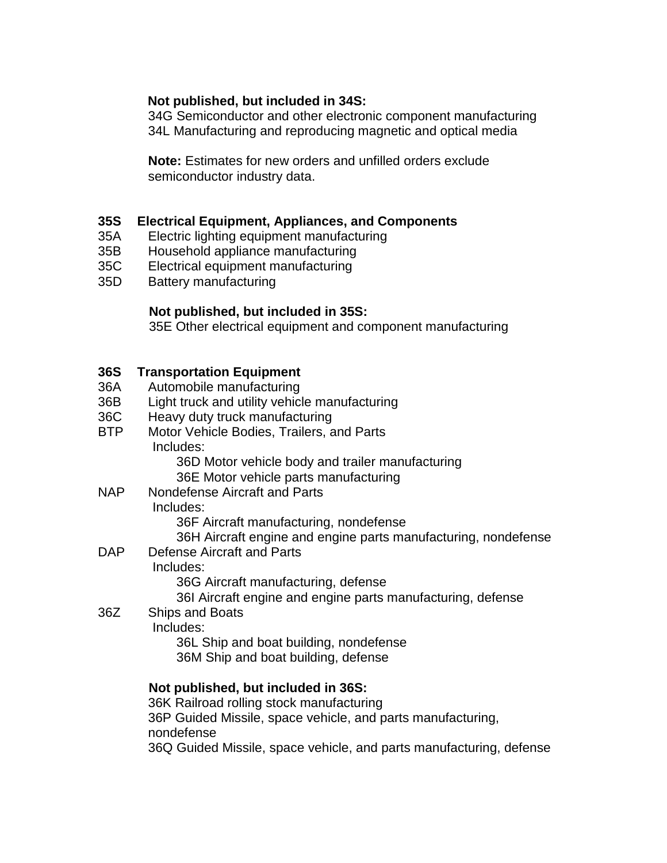#### **Not published, but included in 34S:**

 34G Semiconductor and other electronic component manufacturing 34L Manufacturing and reproducing magnetic and optical media

 **Note:** Estimates for new orders and unfilled orders exclude semiconductor industry data.

#### **35S Electrical Equipment, Appliances, and Components**

- 35A Electric lighting equipment manufacturing
- 35B Household appliance manufacturing
- 35C Electrical equipment manufacturing
- 35D Battery manufacturing

#### **Not published, but included in 35S:**

35E Other electrical equipment and component manufacturing

#### **36S Transportation Equipment**

- 36A Automobile manufacturing
- 36B Light truck and utility vehicle manufacturing
- 36C Heavy duty truck manufacturing
- BTP Motor Vehicle Bodies, Trailers, and Parts Includes:

36D Motor vehicle body and trailer manufacturing 36E Motor vehicle parts manufacturing

NAP Nondefense Aircraft and Parts

Includes:

36F Aircraft manufacturing, nondefense

36H Aircraft engine and engine parts manufacturing, nondefense

DAP Defense Aircraft and Parts Includes:

36G Aircraft manufacturing, defense

36I Aircraft engine and engine parts manufacturing, defense

36Z Ships and Boats

Includes:

36L Ship and boat building, nondefense 36M Ship and boat building, defense

#### **Not published, but included in 36S:**

 36K Railroad rolling stock manufacturing 36P Guided Missile, space vehicle, and parts manufacturing, nondefense 36Q Guided Missile, space vehicle, and parts manufacturing, defense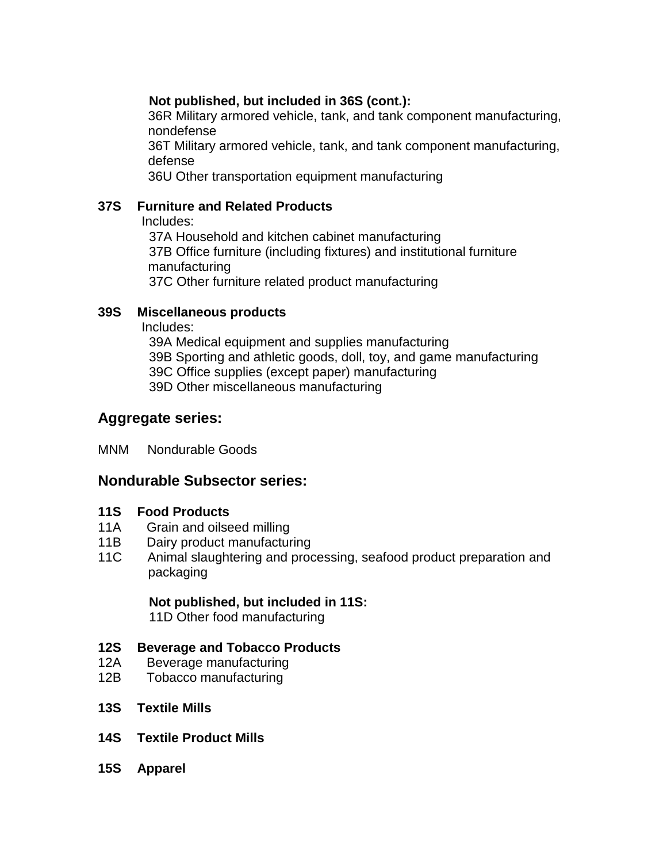#### **Not published, but included in 36S (cont.):**

 36R Military armored vehicle, tank, and tank component manufacturing, nondefense

 36T Military armored vehicle, tank, and tank component manufacturing, defense

36U Other transportation equipment manufacturing

#### **37S Furniture and Related Products**

Includes:

37A Household and kitchen cabinet manufacturing 37B Office furniture (including fixtures) and institutional furniture manufacturing 37C Other furniture related product manufacturing

#### **39S Miscellaneous products**

Includes:

39A Medical equipment and supplies manufacturing 39B Sporting and athletic goods, doll, toy, and game manufacturing 39C Office supplies (except paper) manufacturing 39D Other miscellaneous manufacturing

### **Aggregate series:**

MNM Nondurable Goods

#### **Nondurable Subsector series:**

#### **11S Food Products**

- 11A Grain and oilseed milling
- 11B Dairy product manufacturing
- 11C Animal slaughtering and processing, seafood product preparation and packaging

#### **Not published, but included in 11S:**

11D Other food manufacturing

#### **12S Beverage and Tobacco Products**

- 12A Beverage manufacturing<br>12B Tobacco manufacturing
- Tobacco manufacturing
- **13S Textile Mills**
- **14S Textile Product Mills**
- **15S Apparel**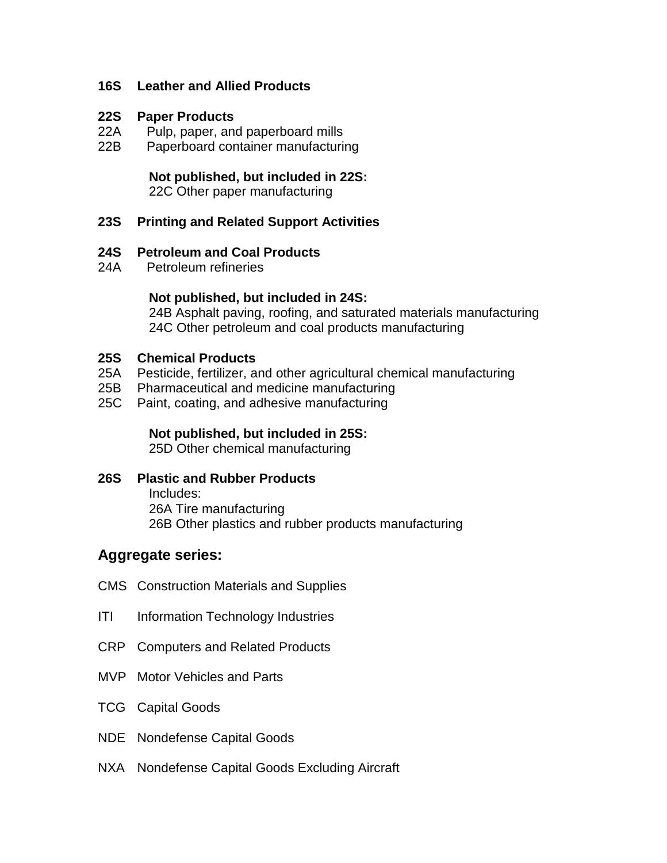#### **16S Leather and Allied Products**

#### **22S Paper Products**

- 22A Pulp, paper, and paperboard mills
- 22B Paperboard container manufacturing

#### **Not published, but included in 22S:**

22C Other paper manufacturing

#### **23S Printing and Related Support Activities**

#### **24S Petroleum and Coal Products**

24A Petroleum refineries

#### **Not published, but included in 24S:**

24B Asphalt paving, roofing, and saturated materials manufacturing 24C Other petroleum and coal products manufacturing

#### **25S Chemical Products**

- 25A Pesticide, fertilizer, and other agricultural chemical manufacturing
- 25B Pharmaceutical and medicine manufacturing
- 25C Paint, coating, and adhesive manufacturing

# **Not published, but included in 25S:**

25D Other chemical manufacturing

#### **26S Plastic and Rubber Products**

Includes: 26A Tire manufacturing 26B Other plastics and rubber products manufacturing

#### **Aggregate series:**

- CMS Construction Materials and Supplies
- ITI Information Technology Industries
- CRP Computers and Related Products
- MVP Motor Vehicles and Parts
- TCG Capital Goods
- NDE Nondefense Capital Goods
- NXA Nondefense Capital Goods Excluding Aircraft